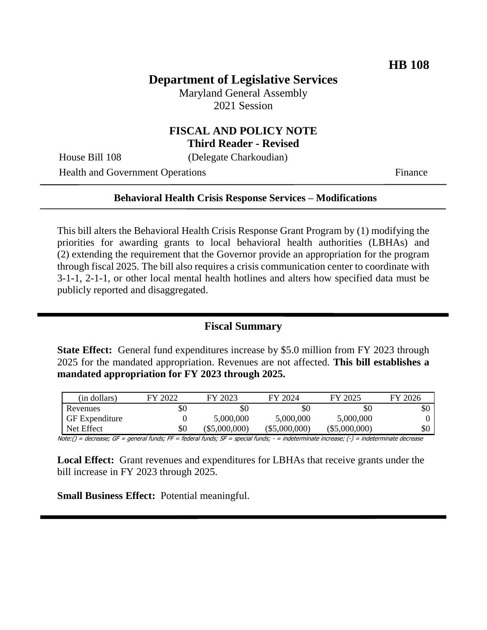# **Department of Legislative Services**

Maryland General Assembly 2021 Session

### **FISCAL AND POLICY NOTE Third Reader - Revised**

House Bill 108 (Delegate Charkoudian)

Health and Government Operations Finance

#### **Behavioral Health Crisis Response Services – Modifications**

This bill alters the Behavioral Health Crisis Response Grant Program by (1) modifying the priorities for awarding grants to local behavioral health authorities (LBHAs) and (2) extending the requirement that the Governor provide an appropriation for the program through fiscal 2025. The bill also requires a crisis communication center to coordinate with 3-1-1, 2-1-1, or other local mental health hotlines and alters how specified data must be publicly reported and disaggregated.

### **Fiscal Summary**

**State Effect:** General fund expenditures increase by \$5.0 million from FY 2023 through 2025 for the mandated appropriation. Revenues are not affected. **This bill establishes a mandated appropriation for FY 2023 through 2025.**

| (in dollars)          | . 2022<br>FY. | FY 2023         | FY 2024         | FY 2025         | FY 2026 |
|-----------------------|---------------|-----------------|-----------------|-----------------|---------|
| Revenues              | \$0           | \$0             | \$0             | \$0             | \$0     |
| <b>GF</b> Expenditure |               | 5,000,000       | 5,000,000       | 5,000,000       |         |
| Net Effect            | \$0           | $(\$5,000,000)$ | $(\$5,000,000)$ | $(\$5,000,000)$ | \$0     |

Note:() = decrease; GF = general funds; FF = federal funds; SF = special funds; - = indeterminate increase; (-) = indeterminate decrease

**Local Effect:** Grant revenues and expenditures for LBHAs that receive grants under the bill increase in FY 2023 through 2025.

**Small Business Effect:** Potential meaningful.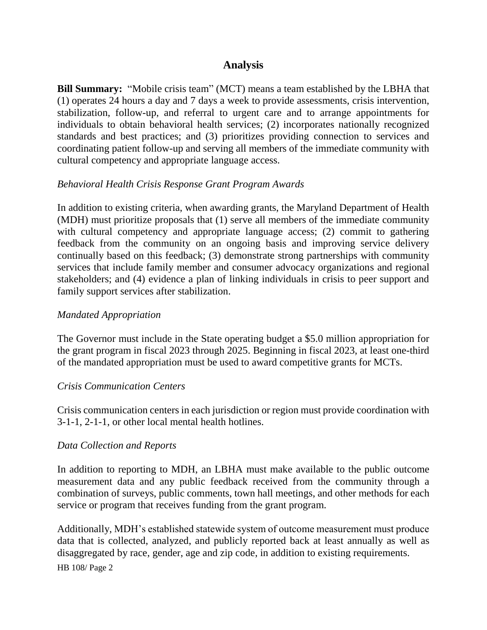### **Analysis**

**Bill Summary:** "Mobile crisis team" (MCT) means a team established by the LBHA that (1) operates 24 hours a day and 7 days a week to provide assessments, crisis intervention, stabilization, follow-up, and referral to urgent care and to arrange appointments for individuals to obtain behavioral health services; (2) incorporates nationally recognized standards and best practices; and (3) prioritizes providing connection to services and coordinating patient follow-up and serving all members of the immediate community with cultural competency and appropriate language access.

#### *Behavioral Health Crisis Response Grant Program Awards*

In addition to existing criteria, when awarding grants, the Maryland Department of Health (MDH) must prioritize proposals that (1) serve all members of the immediate community with cultural competency and appropriate language access; (2) commit to gathering feedback from the community on an ongoing basis and improving service delivery continually based on this feedback; (3) demonstrate strong partnerships with community services that include family member and consumer advocacy organizations and regional stakeholders; and (4) evidence a plan of linking individuals in crisis to peer support and family support services after stabilization.

#### *Mandated Appropriation*

The Governor must include in the State operating budget a \$5.0 million appropriation for the grant program in fiscal 2023 through 2025. Beginning in fiscal 2023, at least one-third of the mandated appropriation must be used to award competitive grants for MCTs.

#### *Crisis Communication Centers*

Crisis communication centers in each jurisdiction or region must provide coordination with 3-1-1, 2-1-1, or other local mental health hotlines.

#### *Data Collection and Reports*

In addition to reporting to MDH, an LBHA must make available to the public outcome measurement data and any public feedback received from the community through a combination of surveys, public comments, town hall meetings, and other methods for each service or program that receives funding from the grant program.

Additionally, MDH's established statewide system of outcome measurement must produce data that is collected, analyzed, and publicly reported back at least annually as well as disaggregated by race, gender, age and zip code, in addition to existing requirements.

HB 108/ Page 2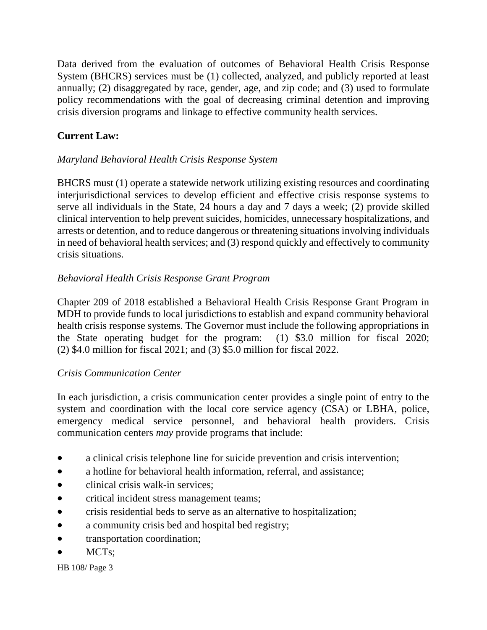Data derived from the evaluation of outcomes of Behavioral Health Crisis Response System (BHCRS) services must be (1) collected, analyzed, and publicly reported at least annually; (2) disaggregated by race, gender, age, and zip code; and (3) used to formulate policy recommendations with the goal of decreasing criminal detention and improving crisis diversion programs and linkage to effective community health services.

# **Current Law:**

### *Maryland Behavioral Health Crisis Response System*

BHCRS must (1) operate a statewide network utilizing existing resources and coordinating interjurisdictional services to develop efficient and effective crisis response systems to serve all individuals in the State, 24 hours a day and 7 days a week; (2) provide skilled clinical intervention to help prevent suicides, homicides, unnecessary hospitalizations, and arrests or detention, and to reduce dangerous or threatening situations involving individuals in need of behavioral health services; and (3) respond quickly and effectively to community crisis situations.

### *Behavioral Health Crisis Response Grant Program*

Chapter 209 of 2018 established a Behavioral Health Crisis Response Grant Program in MDH to provide funds to local jurisdictions to establish and expand community behavioral health crisis response systems. The Governor must include the following appropriations in the State operating budget for the program: (1) \$3.0 million for fiscal 2020; (2) \$4.0 million for fiscal 2021; and (3) \$5.0 million for fiscal 2022.

### *Crisis Communication Center*

In each jurisdiction, a crisis communication center provides a single point of entry to the system and coordination with the local core service agency (CSA) or LBHA, police, emergency medical service personnel, and behavioral health providers. Crisis communication centers *may* provide programs that include:

- a clinical crisis telephone line for suicide prevention and crisis intervention;
- a hotline for behavioral health information, referral, and assistance;
- clinical crisis walk-in services;
- critical incident stress management teams;
- crisis residential beds to serve as an alternative to hospitalization;
- a community crisis bed and hospital bed registry;
- transportation coordination;
- MCTs:

HB 108/ Page 3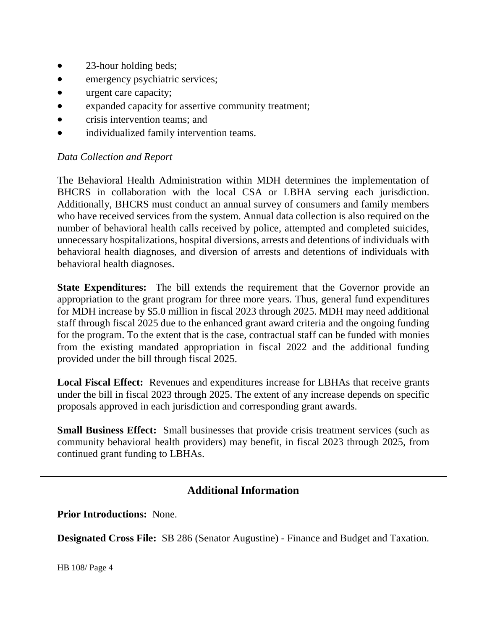- 23-hour holding beds;
- emergency psychiatric services;
- urgent care capacity;
- expanded capacity for assertive community treatment;
- crisis intervention teams; and
- individualized family intervention teams.

### *Data Collection and Report*

The Behavioral Health Administration within MDH determines the implementation of BHCRS in collaboration with the local CSA or LBHA serving each jurisdiction. Additionally, BHCRS must conduct an annual survey of consumers and family members who have received services from the system. Annual data collection is also required on the number of behavioral health calls received by police, attempted and completed suicides, unnecessary hospitalizations, hospital diversions, arrests and detentions of individuals with behavioral health diagnoses, and diversion of arrests and detentions of individuals with behavioral health diagnoses.

**State Expenditures:** The bill extends the requirement that the Governor provide an appropriation to the grant program for three more years. Thus, general fund expenditures for MDH increase by \$5.0 million in fiscal 2023 through 2025. MDH may need additional staff through fiscal 2025 due to the enhanced grant award criteria and the ongoing funding for the program. To the extent that is the case, contractual staff can be funded with monies from the existing mandated appropriation in fiscal 2022 and the additional funding provided under the bill through fiscal 2025.

**Local Fiscal Effect:** Revenues and expenditures increase for LBHAs that receive grants under the bill in fiscal 2023 through 2025. The extent of any increase depends on specific proposals approved in each jurisdiction and corresponding grant awards.

**Small Business Effect:** Small businesses that provide crisis treatment services (such as community behavioral health providers) may benefit, in fiscal 2023 through 2025, from continued grant funding to LBHAs.

# **Additional Information**

**Prior Introductions:** None.

**Designated Cross File:** SB 286 (Senator Augustine) - Finance and Budget and Taxation.